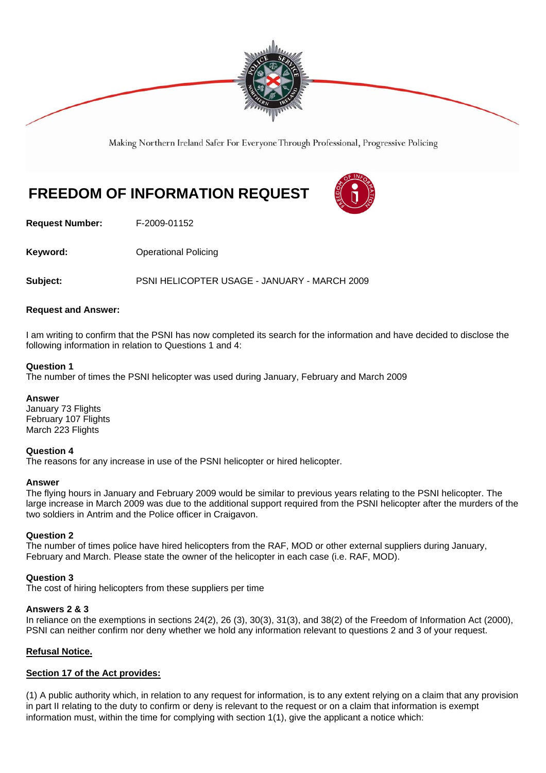

Making Northern Ireland Safer For Everyone Through Professional, Progressive Policing

# **FREEDOM OF INFORMATION REQUEST**



**Request Number:** F-2009-01152

**Keyword: Conservery Operational Policing** 

**Subject:** PSNI HELICOPTER USAGE - JANUARY - MARCH 2009

# **Request and Answer:**

I am writing to confirm that the PSNI has now completed its search for the information and have decided to disclose the following information in relation to Questions 1 and 4:

## **Question 1**

The number of times the PSNI helicopter was used during January, February and March 2009

# **Answer**

January 73 Flights February 107 Flights March 223 Flights

# **Question 4**

The reasons for any increase in use of the PSNI helicopter or hired helicopter.

#### **Answer**

The flying hours in January and February 2009 would be similar to previous years relating to the PSNI helicopter. The large increase in March 2009 was due to the additional support required from the PSNI helicopter after the murders of the two soldiers in Antrim and the Police officer in Craigavon.

# **Question 2**

The number of times police have hired helicopters from the RAF, MOD or other external suppliers during January, February and March. Please state the owner of the helicopter in each case (i.e. RAF, MOD).

# **Question 3**

The cost of hiring helicopters from these suppliers per time

#### **Answers 2 & 3**

In reliance on the exemptions in sections 24(2), 26 (3), 30(3), 31(3), and 38(2) of the Freedom of Information Act (2000), PSNI can neither confirm nor deny whether we hold any information relevant to questions 2 and 3 of your request.

# **Refusal Notice.**

# **Section 17 of the Act provides:**

(1) A public authority which, in relation to any request for information, is to any extent relying on a claim that any provision in part II relating to the duty to confirm or deny is relevant to the request or on a claim that information is exempt information must, within the time for complying with section 1(1), give the applicant a notice which: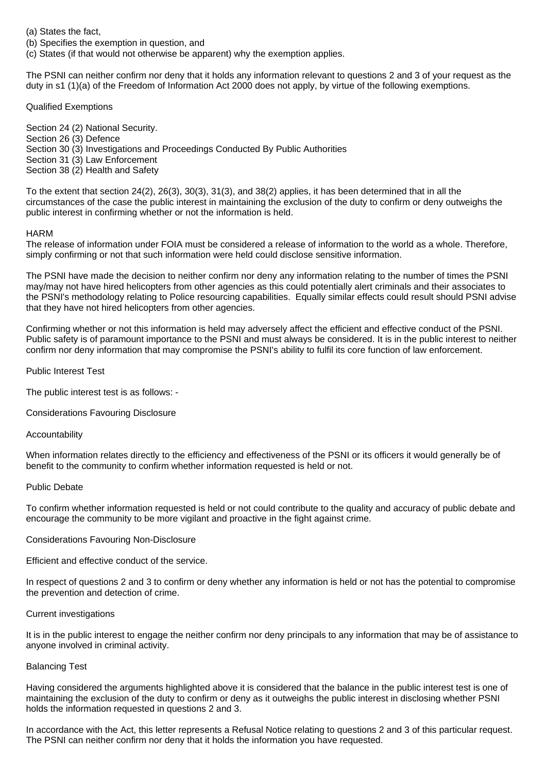(a) States the fact,

(b) Specifies the exemption in question, and

(c) States (if that would not otherwise be apparent) why the exemption applies.

The PSNI can neither confirm nor deny that it holds any information relevant to questions 2 and 3 of your request as the duty in s1 (1)(a) of the Freedom of Information Act 2000 does not apply, by virtue of the following exemptions.

Qualified Exemptions

Section 24 (2) National Security. Section 26 (3) Defence Section 30 (3) Investigations and Proceedings Conducted By Public Authorities Section 31 (3) Law Enforcement Section 38 (2) Health and Safety

To the extent that section 24(2), 26(3), 30(3), 31(3), and 38(2) applies, it has been determined that in all the circumstances of the case the public interest in maintaining the exclusion of the duty to confirm or deny outweighs the public interest in confirming whether or not the information is held.

## HARM

The release of information under FOIA must be considered a release of information to the world as a whole. Therefore, simply confirming or not that such information were held could disclose sensitive information.

The PSNI have made the decision to neither confirm nor deny any information relating to the number of times the PSNI may/may not have hired helicopters from other agencies as this could potentially alert criminals and their associates to the PSNI's methodology relating to Police resourcing capabilities. Equally similar effects could result should PSNI advise that they have not hired helicopters from other agencies.

Confirming whether or not this information is held may adversely affect the efficient and effective conduct of the PSNI. Public safety is of paramount importance to the PSNI and must always be considered. It is in the public interest to neither confirm nor deny information that may compromise the PSNI's ability to fulfil its core function of law enforcement.

Public Interest Test

The public interest test is as follows: -

Considerations Favouring Disclosure

Accountability

When information relates directly to the efficiency and effectiveness of the PSNI or its officers it would generally be of benefit to the community to confirm whether information requested is held or not.

#### Public Debate

To confirm whether information requested is held or not could contribute to the quality and accuracy of public debate and encourage the community to be more vigilant and proactive in the fight against crime.

#### Considerations Favouring Non-Disclosure

Efficient and effective conduct of the service.

In respect of questions 2 and 3 to confirm or deny whether any information is held or not has the potential to compromise the prevention and detection of crime.

#### Current investigations

It is in the public interest to engage the neither confirm nor deny principals to any information that may be of assistance to anyone involved in criminal activity.

# Balancing Test

Having considered the arguments highlighted above it is considered that the balance in the public interest test is one of maintaining the exclusion of the duty to confirm or deny as it outweighs the public interest in disclosing whether PSNI holds the information requested in questions 2 and 3.

In accordance with the Act, this letter represents a Refusal Notice relating to questions 2 and 3 of this particular request. The PSNI can neither confirm nor deny that it holds the information you have requested.